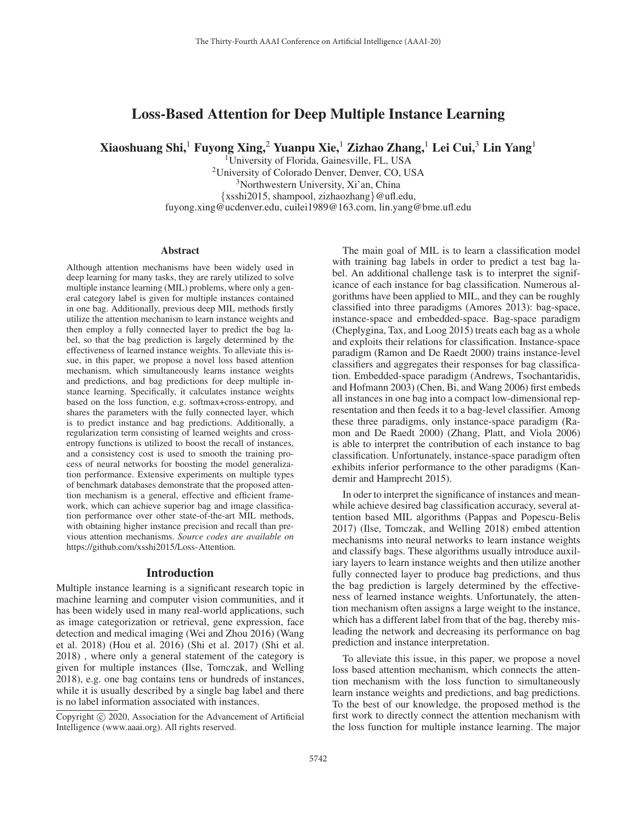# Loss-Based Attention for Deep Multiple Instance Learning

Xiaoshuang Shi,<sup>1</sup> Fuyong Xing,<sup>2</sup> Yuanpu Xie,<sup>1</sup> Zizhao Zhang,<sup>1</sup> Lei Cui,<sup>3</sup> Lin Yang<sup>1</sup>

<sup>1</sup>University of Florida, Gainesville, FL, USA 2University of Colorado Denver, Denver, CO, USA 3Northwestern University, Xi'an, China {xsshi2015, shampool, zizhaozhang}@ufl.edu, fuyong.xing@ucdenver.edu, cuilei1989@163.com, lin.yang@bme.ufl.edu

#### **Abstract**

Although attention mechanisms have been widely used in deep learning for many tasks, they are rarely utilized to solve multiple instance learning (MIL) problems, where only a general category label is given for multiple instances contained in one bag. Additionally, previous deep MIL methods firstly utilize the attention mechanism to learn instance weights and then employ a fully connected layer to predict the bag label, so that the bag prediction is largely determined by the effectiveness of learned instance weights. To alleviate this issue, in this paper, we propose a novel loss based attention mechanism, which simultaneously learns instance weights and predictions, and bag predictions for deep multiple instance learning. Specifically, it calculates instance weights based on the loss function, e.g. softmax+cross-entropy, and shares the parameters with the fully connected layer, which is to predict instance and bag predictions. Additionally, a regularization term consisting of learned weights and crossentropy functions is utilized to boost the recall of instances, and a consistency cost is used to smooth the training process of neural networks for boosting the model generalization performance. Extensive experiments on multiple types of benchmark databases demonstrate that the proposed attention mechanism is a general, effective and efficient framework, which can achieve superior bag and image classification performance over other state-of-the-art MIL methods, with obtaining higher instance precision and recall than previous attention mechanisms. *Source codes are available on* https://github.com/xsshi2015/Loss-Attention*.*

#### Introduction

Multiple instance learning is a significant research topic in machine learning and computer vision communities, and it has been widely used in many real-world applications, such as image categorization or retrieval, gene expression, face detection and medical imaging (Wei and Zhou 2016) (Wang et al. 2018) (Hou et al. 2016) (Shi et al. 2017) (Shi et al. 2018) , where only a general statement of the category is given for multiple instances (Ilse, Tomczak, and Welling 2018), e.g. one bag contains tens or hundreds of instances, while it is usually described by a single bag label and there is no label information associated with instances.

The main goal of MIL is to learn a classification model with training bag labels in order to predict a test bag label. An additional challenge task is to interpret the significance of each instance for bag classification. Numerous algorithms have been applied to MIL, and they can be roughly classified into three paradigms (Amores 2013): bag-space, instance-space and embedded-space. Bag-space paradigm (Cheplygina, Tax, and Loog 2015) treats each bag as a whole and exploits their relations for classification. Instance-space paradigm (Ramon and De Raedt 2000) trains instance-level classifiers and aggregates their responses for bag classification. Embedded-space paradigm (Andrews, Tsochantaridis, and Hofmann 2003) (Chen, Bi, and Wang 2006) first embeds all instances in one bag into a compact low-dimensional representation and then feeds it to a bag-level classifier. Among these three paradigms, only instance-space paradigm (Ramon and De Raedt 2000) (Zhang, Platt, and Viola 2006) is able to interpret the contribution of each instance to bag classification. Unfortunately, instance-space paradigm often exhibits inferior performance to the other paradigms (Kandemir and Hamprecht 2015).

In oder to interpret the significance of instances and meanwhile achieve desired bag classification accuracy, several attention based MIL algorithms (Pappas and Popescu-Belis 2017) (Ilse, Tomczak, and Welling 2018) embed attention mechanisms into neural networks to learn instance weights and classify bags. These algorithms usually introduce auxiliary layers to learn instance weights and then utilize another fully connected layer to produce bag predictions, and thus the bag prediction is largely determined by the effectiveness of learned instance weights. Unfortunately, the attention mechanism often assigns a large weight to the instance, which has a different label from that of the bag, thereby misleading the network and decreasing its performance on bag prediction and instance interpretation.

To alleviate this issue, in this paper, we propose a novel loss based attention mechanism, which connects the attention mechanism with the loss function to simultaneously learn instance weights and predictions, and bag predictions. To the best of our knowledge, the proposed method is the first work to directly connect the attention mechanism with the loss function for multiple instance learning. The major

Copyright  $\odot$  2020, Association for the Advancement of Artificial Intelligence (www.aaai.org). All rights reserved.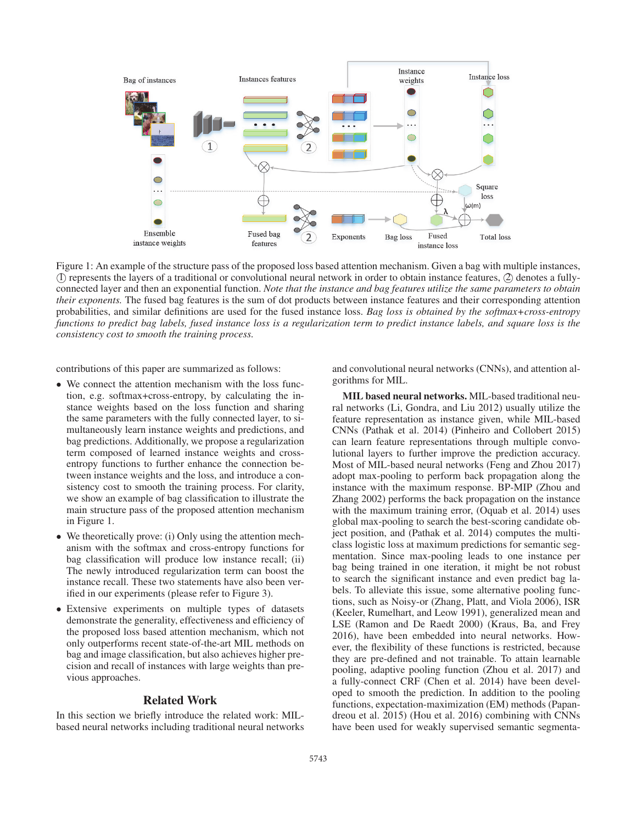

Figure 1: An example of the structure pass of the proposed loss based attention mechanism. Given a bag with multiple instances,  $\mathbb D$  represents the layers of a traditional or convolutional neural network in order to obtain instance features,  $\mathbb Q$  denotes a fullyconnected layer and then an exponential function. *Note that the instance and bag features utilize the same parameters to obtain their exponents.* The fused bag features is the sum of dot products between instance features and their corresponding attention probabilities, and similar definitions are used for the fused instance loss. *Bag loss is obtained by the softmax+cross-entropy functions to predict bag labels, fused instance loss is a regularization term to predict instance labels, and square loss is the consistency cost to smooth the training process.*

contributions of this paper are summarized as follows:

- We connect the attention mechanism with the loss function, e.g. softmax+cross-entropy, by calculating the instance weights based on the loss function and sharing the same parameters with the fully connected layer, to simultaneously learn instance weights and predictions, and bag predictions. Additionally, we propose a regularization term composed of learned instance weights and crossentropy functions to further enhance the connection between instance weights and the loss, and introduce a consistency cost to smooth the training process. For clarity, we show an example of bag classification to illustrate the main structure pass of the proposed attention mechanism in Figure 1.
- We theoretically prove: (i) Only using the attention mechanism with the softmax and cross-entropy functions for bag classification will produce low instance recall; (ii) The newly introduced regularization term can boost the instance recall. These two statements have also been verified in our experiments (please refer to Figure 3).
- Extensive experiments on multiple types of datasets demonstrate the generality, effectiveness and efficiency of the proposed loss based attention mechanism, which not only outperforms recent state-of-the-art MIL methods on bag and image classification, but also achieves higher precision and recall of instances with large weights than previous approaches.

## Related Work

In this section we briefly introduce the related work: MILbased neural networks including traditional neural networks and convolutional neural networks (CNNs), and attention algorithms for MIL.

MIL based neural networks. MIL-based traditional neural networks (Li, Gondra, and Liu 2012) usually utilize the feature representation as instance given, while MIL-based CNNs (Pathak et al. 2014) (Pinheiro and Collobert 2015) can learn feature representations through multiple convolutional layers to further improve the prediction accuracy. Most of MIL-based neural networks (Feng and Zhou 2017) adopt max-pooling to perform back propagation along the instance with the maximum response. BP-MIP (Zhou and Zhang 2002) performs the back propagation on the instance with the maximum training error, (Oquab et al. 2014) uses global max-pooling to search the best-scoring candidate object position, and (Pathak et al. 2014) computes the multiclass logistic loss at maximum predictions for semantic segmentation. Since max-pooling leads to one instance per bag being trained in one iteration, it might be not robust to search the significant instance and even predict bag labels. To alleviate this issue, some alternative pooling functions, such as Noisy-or (Zhang, Platt, and Viola 2006), ISR (Keeler, Rumelhart, and Leow 1991), generalized mean and LSE (Ramon and De Raedt 2000) (Kraus, Ba, and Frey 2016), have been embedded into neural networks. However, the flexibility of these functions is restricted, because they are pre-defined and not trainable. To attain learnable pooling, adaptive pooling function (Zhou et al. 2017) and a fully-connect CRF (Chen et al. 2014) have been developed to smooth the prediction. In addition to the pooling functions, expectation-maximization (EM) methods (Papandreou et al. 2015) (Hou et al. 2016) combining with CNNs have been used for weakly supervised semantic segmenta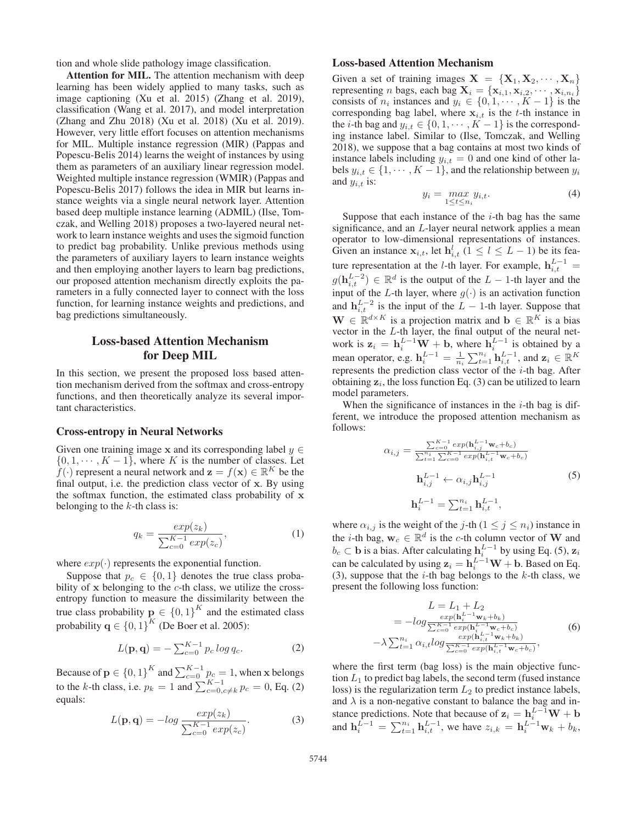tion and whole slide pathology image classification.

Attention for MIL. The attention mechanism with deep learning has been widely applied to many tasks, such as image captioning (Xu et al. 2015) (Zhang et al. 2019), classification (Wang et al. 2017), and model interpretation (Zhang and Zhu 2018) (Xu et al. 2018) (Xu et al. 2019). However, very little effort focuses on attention mechanisms for MIL. Multiple instance regression (MIR) (Pappas and Popescu-Belis 2014) learns the weight of instances by using them as parameters of an auxiliary linear regression model. Weighted multiple instance regression (WMIR) (Pappas and Popescu-Belis 2017) follows the idea in MIR but learns instance weights via a single neural network layer. Attention based deep multiple instance learning (ADMIL) (Ilse, Tomczak, and Welling 2018) proposes a two-layered neural network to learn instance weights and uses the sigmoid function to predict bag probability. Unlike previous methods using the parameters of auxiliary layers to learn instance weights and then employing another layers to learn bag predictions, our proposed attention mechanism directly exploits the parameters in a fully connected layer to connect with the loss function, for learning instance weights and predictions, and bag predictions simultaneously.

# Loss-based Attention Mechanism for Deep MIL

In this section, we present the proposed loss based attention mechanism derived from the softmax and cross-entropy functions, and then theoretically analyze its several important characteristics.

### Cross-entropy in Neural Networks

Given one training image **x** and its corresponding label  $y \in \mathbb{R}$  $\{0, 1, \dots, K - 1\}$ , where K is the number of classes. Let  $f(\cdot)$  represent a neural network and  $\mathbf{z} = f(\mathbf{x}) \in \mathbb{R}^K$  be the final output, i.e. the prediction class vector of **x**. By using the softmax function, the estimated class probability of **x** belonging to the  $k$ -th class is:

$$
q_k = \frac{exp(z_k)}{\sum_{c=0}^{K-1} exp(z_c)},
$$
\n(1)

where  $exp(\cdot)$  represents the exponential function.

Suppose that  $p_c \in \{0, 1\}$  denotes the true class probability of x belonging to the *c*-th class, we utilize the crossbility of **<sup>x</sup>** belonging to the c-th class, we utilize the cross-entropy function to measure the dissimilarity between the true class probability  $\mathbf{p} \in \{0,1\}^K$  and the estimated class probability  $\mathbf{q} \in \{0, 1\}^K$  (De Boer et al. 2005):

$$
L(\mathbf{p}, \mathbf{q}) = -\sum_{c=0}^{K-1} p_c \log q_c.
$$
 (2)

Because of **p**  $\in \{0, 1\}^K$  and  $\sum_{c=0}^{K-1} p_c = 1$ , when **x** belongs to the k-th class, i.e.  $p_k = 1$  and  $\sum_{c=0, c \neq k}^{K-1} p_c = 0$ , Eq. (2) equals:

$$
L(\mathbf{p}, \mathbf{q}) = -\log \frac{\exp(z_k)}{\sum_{c=0}^{K-1} \exp(z_c)}.
$$
 (3)

## Loss-based Attention Mechanism

Given a set of training images  $X = \{X_1, X_2, \dots, X_n\}$ representing *n* bags, each bag  $\mathbf{X}_i = {\mathbf{x}_{i,1}, \mathbf{x}_{i,2}, \cdots, \mathbf{x}_{i,n_i}}$ consists of  $n_i$  instances and  $y_i \in \{0, 1, \dots, K-1\}$  is the corresponding bag label, where  $x_{i,t}$  is the t-th instance in the *i*-th bag and  $y_{i,t} \in \{0, 1, \dots, K-1\}$  is the corresponding instance label. Similar to (Ilse, Tomczak, and Welling 2018), we suppose that a bag contains at most two kinds of instance labels including  $y_{i,t} = 0$  and one kind of other labels  $y_{i,t} \in \{1, \cdots, K-1\}$ , and the relationship between  $y_i$ and  $y_{i,t}$  is:

$$
y_i = \max_{1 \le t \le n_i} y_{i,t}.\tag{4}
$$

Suppose that each instance of the  $i$ -th bag has the same significance, and an L-layer neural network applies a mean operator to low-dimensional representations of instances. Given an instance  $\mathbf{x}_{i,t}$ , let  $\mathbf{h}_{i,t}^l$  ( $1 \le l \le L-1$ ) be its feature representation at the *l*-th layer. For example,  $h_{i,t}^{L-1}$  =  $g(\mathbf{h}_{i,t}^{L-2}) \in \mathbb{R}^d$  is the output of the L − 1-th layer and the input of the L th layer where  $g(x)$  is an activation function input of the L-th layer, where  $g(\cdot)$  is an activation function and  $h_{i,t}^{L-2}$  is the input of the  $L - 1$ -th layer. Suppose that  $\mathbf{W} \in \mathbb{R}^{M \times K}$  is a generication matrix and  $\mathbf{h} \in \mathbb{R}^{K}$  is a biase **W** ∈  $\mathbb{R}^{d \times K}$  is a projection matrix and **b** ∈  $\mathbb{R}^{K}$  is a bias vector in the *L*-th layer, the final output of the neural netvector in the L-th layer, the final output of the neural net-<br>work is  $z_i = h_i^{L-1} \mathbf{W} + \mathbf{b}$ , where  $h_i^{L-1}$  is obtained by a mean operator, e.g.  $\mathbf{h}_i^{L-1} = \frac{1}{n_i} \sum_{t=1}^{n_i} \mathbf{h}_{i,t}^{L-1}$ , and  $\mathbf{z}_i \in \mathbb{R}^K$ represents the prediction class vector of the i-th bag. After obtaining  $z_i$ , the loss function Eq. (3) can be utilized to learn model parameters.

When the significance of instances in the  $i$ -th bag is different, we introduce the proposed attention mechanism as follows:

$$
\alpha_{i,j} = \frac{\sum_{c=0}^{K-1} exp(\mathbf{h}_{i,j}^{L-1} \mathbf{w}_c + b_c)}{\sum_{t=1}^{n_i} \sum_{c=0}^{K-1} exp(\mathbf{h}_{i,t}^{L-1} \mathbf{w}_c + b_c)}
$$

$$
\mathbf{h}_{i,j}^{L-1} \leftarrow \alpha_{i,j} \mathbf{h}_{i,j}^{L-1}
$$

$$
\mathbf{h}_{i}^{L-1} = \sum_{t=1}^{n_i} \mathbf{h}_{i,t}^{L-1},
$$
(5)

where  $\alpha_{i,j}$  is the weight of the j-th ( $1 \le j \le n_i$ ) instance in the *i*-th bag,  $\mathbf{w}_c \in \mathbb{R}^d$  is the *c*-th column vector of **W** and  $b_c$  ⊂ **b** is a bias. After calculating  $\mathbf{h}_i^{L-1}$  by using Eq. (5),  $\mathbf{z}_i$ <br>can be calculated by using  $\mathbf{z}_i = \mathbf{h}_i^{L-1} \mathbf{W}_i + \mathbf{h}_i$  Based on Eq. can be calculated by using  $z_i = h_i^{\frac{L-1}{L}}W + b$ . Based on Eq. (3), suppose that the  $i$ -th bag belongs to the  $k$ -th class, we present the following loss function:

$$
L = L_1 + L_2
$$
  
=  $-log \frac{exp(\mathbf{h}_i^{L-1}\mathbf{w}_k + b_k)}{\sum_{c=0}^{K-1} exp(\mathbf{h}_i^{L-1}\mathbf{w}_c + b_c)}$   
 $-\lambda \sum_{t=1}^{n_i} \alpha_{i,t} log \frac{exp(\mathbf{h}_{i,t}^{L-1}\mathbf{w}_k + b_k)}{\sum_{c=0}^{K-1} exp(\mathbf{h}_{i,t}^{L-1}\mathbf{w}_c + b_c)},$  (6)

where the first term (bag loss) is the main objective function  $L_1$  to predict bag labels, the second term (fused instance loss) is the regularization term  $L_2$  to predict instance labels, and  $\lambda$  is a non-negative constant to balance the bag and inand  $\lambda$  is a non-negative constant to balance the bag and instance predictions. Note that because of  $z_i = h_i^{L-1}W + b$ and  $\mathbf{h}_i^{\tilde{L}-1} = \sum_{t=1}^{n_i} \mathbf{h}_{i,t}^{\tilde{L}-1}$ , we have  $z_{i,k} = \mathbf{h}_i^{\tilde{L}-1} \mathbf{w}_k + b_k$ ,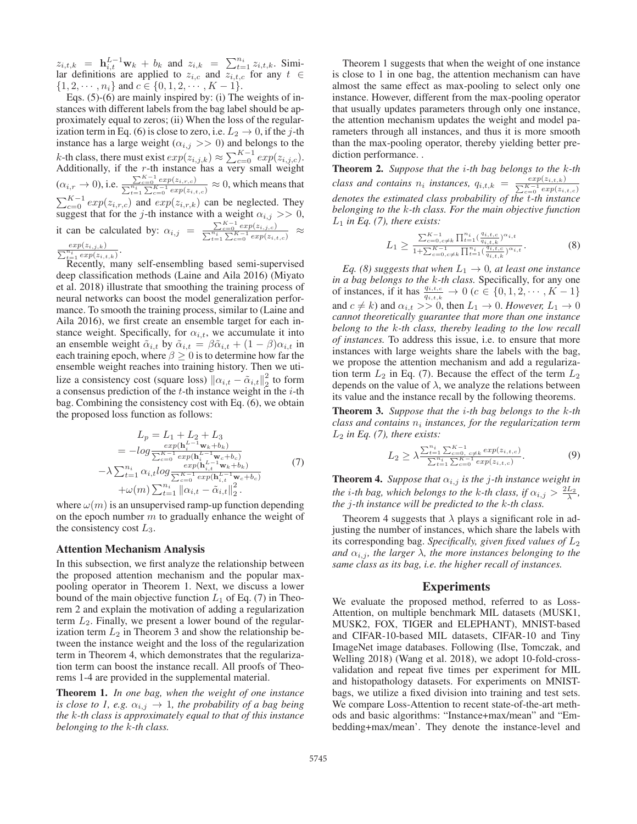$z_{i,t,k} = \mathbf{h}_{i,t}^{L-1} \mathbf{w}_k + b_k$  and  $z_{i,k} = \sum_{t=1}^{n_i} z_{i,t,k}$ . Similar definitions are applied to  $z_{i,k}$  and  $z_{i,t}$  for any  $t \in$ lar definitions are applied to  $z_{i,c}$  and  $z_{i,t,c}$  for any  $t \in$  $\{1, 2, \cdots, n_i\}$  and  $c \in \{0, 1, 2, \cdots, K - 1\}.$ 

Eqs. (5)-(6) are mainly inspired by: (i) The weights of instances with different labels from the bag label should be approximately equal to zeros; (ii) When the loss of the regularization term in Eq. (6) is close to zero, i.e.  $L_2 \rightarrow 0$ , if the *j*-th instance has a large weight ( $\alpha_{i,j} >> 0$ ) and belongs to the instance has a large weight  $(\alpha_{i,j} >> 0)$  and belongs to the k-th class, there must exist  $exp(z_{i,j,k}) \approx \sum_{c=0}^{K-1} exp(z_{i,j,c})$ .<br>Additionally if the r-th instance has a very small weight Additionally, if the r-th instance has a very small weight  $(\alpha_{i,r} \to 0), \text{i.e.} \, \frac{\sum_{c=0}^{K-1} exp(z_{i,r,c})}{\sum_{t=1}^{n_i} \sum_{c=0}^{K-1} exp(z_{i,r}})$  $\frac{\sum_{c=0}^{T} \exp(z_i, r, c)}{\sum_{t=1}^{n_i} \sum_{c=0}^{K-1} \exp(z_{i,t,c})} \approx 0$ , which means that  $\sum_{c=0}^{K-1} exp(z_{i,r,c})$  and  $exp(z_{i,r,k})$  can be neglected. They<br>suggest that for the *i*-th instance with a weight  $\alpha_{i,s} >> 0$ suggest that for the j-th instance with a weight  $\alpha_{i,j} >> 0$ , it can be calculated by:  $\alpha_{i,j} = \frac{\sum_{c=0}^{K-1} exp(z_{i,j,c})}{\sum_{t=1}^{n_i} \sum_{c=0}^{K-1} exp(z_{i,j}})$  $\frac{\sum_{c=0}^{\infty} exp(z_{i,j,c})}{\sum_{t=1}^{n_i}\sum_{c=0}^{K-1} exp(z_{i,t,c})} \approx$  $\frac{exp(z_{i,j,k})}{\sum_{t=1}^{n_i} exp(z_{i,t,k})}$ .  $exp(z_{i,j,k})$ 

Recently, many self-ensembling based semi-supervised deep classification methods (Laine and Aila 2016) (Miyato et al. 2018) illustrate that smoothing the training process of neural networks can boost the model generalization performance. To smooth the training process, similar to (Laine and Aila 2016), we first create an ensemble target for each instance weight. Specifically, for  $\alpha_{i,t}$ , we accumulate it into an ensemble weight  $\tilde{\alpha}_{i,t}$  by  $\tilde{\alpha}_{i,t} = \beta \tilde{\alpha}_{i,t} + (1 - \beta) \alpha_{i,t}$  in each training epoch, where  $\beta \geq 0$  is to determine how far the ensemble weight reaches into training history. Then we utilize a consistency cost (square loss)  $\|\alpha_{i,t} - \tilde{\alpha}_{i,t}\|_2^2$  to form a consensus prediction of the *t*-th instance weight in the *i*-th a consensus prediction of the  $t$ -th instance weight in the  $i$ -th bag. Combining the consistency cost with Eq. (6), we obtain the proposed loss function as follows:

$$
L_p = L_1 + L_2 + L_3
$$
  
=  $-log \frac{exp(\mathbf{h}_i^{L-1} \mathbf{w}_k + b_k)}{\sum_{c=0}^{K-1} exp(\mathbf{h}_i^{L-1} \mathbf{w}_c + b_c)}$   
 $- \lambda \sum_{t=1}^{n_i} \alpha_{i,t} log \frac{exp(\mathbf{h}_{i,t}^{L-1} \mathbf{w}_k + b_k)}{\sum_{c=0}^{K-1} exp(\mathbf{h}_{i,t}^{L-1} \mathbf{w}_c + b_c)}$   
 $+ \omega(m) \sum_{t=1}^{n_i} ||\alpha_{i,t} - \tilde{\alpha}_{i,t}||_2^2$ .

where  $\omega(m)$  is an unsupervised ramp-up function depending<br>on the epoch number m to gradually enhance the weight of on the epoch number m to gradually enhance the weight of the consistency cost  $L_2$ the consistency cost  $L_3$ .

## Attention Mechanism Analysis

In this subsection, we first analyze the relationship between the proposed attention mechanism and the popular maxpooling operator in Theorem 1. Next, we discuss a lower bound of the main objective function  $L_1$  of Eq. (7) in Theorem 2 and explain the motivation of adding a regularization term  $L_2$ . Finally, we present a lower bound of the regularization term  $L_2$  in Theorem 3 and show the relationship between the instance weight and the loss of the regularization term in Theorem 4, which demonstrates that the regularization term can boost the instance recall. All proofs of Theorems 1-4 are provided in the supplemental material.

Theorem 1. *In one bag, when the weight of one instance is close to 1, e.g.*  $\alpha_{i,j} \rightarrow 1$ *, the probability of a bag being the* k*-th class is approximately equal to that of this instance belonging to the* k*-th class.*

Theorem 1 suggests that when the weight of one instance is close to 1 in one bag, the attention mechanism can have almost the same effect as max-pooling to select only one instance. However, different from the max-pooling operator that usually updates parameters through only one instance, the attention mechanism updates the weight and model parameters through all instances, and thus it is more smooth than the max-pooling operator, thereby yielding better prediction performance. .

Theorem 2. *Suppose that the* i*-th bag belongs to the* k*-th class and contains*  $n_i$  *instances,*  $q_{i,t,k} = \frac{exp(z_{i,t,k})}{\sum_{c=0}^{K-1} exp(z_{i,t,c})}$ *denotes the estimated class probability of the* t*-th instance belonging to the* k*-th class. For the main objective function* <sup>L</sup><sup>1</sup> *in Eq. (7), there exists:*

$$
L_1 \ge \frac{\sum_{c=0,c\ne k}^{K-1} \prod_{i=1}^{n_i} \left(\frac{q_{i,t,c}}{q_{i,t,k}}\right)^{\alpha_{i,t}}}{1 + \sum_{c=0,c\ne k}^{K-1} \prod_{i=1}^{n_i} \left(\frac{q_{i,t,c}}{q_{i,t,c}}\right)^{\alpha_{i,t}}}.
$$
\n(8)

*Eq. (8) suggests that when*  $L_1 \rightarrow 0$ *, at least one instance in a bag belongs to the k-th class.* Specifically, for any one<br>of instances, if it has  $\frac{q_{i,t,c}}{q_{i,t,k}} \to 0$  ( $c \in \{0, 1, 2, \cdots, K-1\}$ <br>and  $c \neq b$ ) and  $c \in \{0, 1, 2, \cdots, K-1\}$ and  $c \neq k$ ) and  $\alpha_{i,t} >> 0$ , then  $L_1 \rightarrow 0$ . *However*,  $L_1 \rightarrow 0$ *cannot theoretically guarantee that more than one instance belong to the* k*-th class, thereby leading to the low recall of instances.* To address this issue, i.e. to ensure that more instances with large weights share the labels with the bag, we propose the attention mechanism and add a regularization term  $L_2$  in Eq. (7). Because the effect of the term  $L_2$ depends on the value of  $\lambda$ , we analyze the relations between its value and the instance recall by the following theorems.

Theorem 3. *Suppose that the* i*-th bag belongs to the* k*-th class and contains*  $n_i$  *instances, for the regularization term* <sup>L</sup><sup>2</sup> *in Eq. (7), there exists:*

$$
L_2 \ge \lambda \frac{\sum_{t=1}^{n_i} \sum_{c=0}^{K-1} \sum_{c \neq k}^{c} \exp(z_{i,t,c})}{\sum_{t=1}^{n_i} \sum_{c=0}^{K-1} \exp(z_{i,t,c})}.
$$
 (9)

**Theorem 4.** *Suppose that*  $\alpha_{i,j}$  *is the j-th instance weight in the i*-th bag, which belongs to the *k*-th class, if  $\alpha_{i,j} > \frac{2L_2}{\lambda}$ , the *i*-th instance will be predicted to the *k*-th class *the* j*-th instance will be predicted to the* k*-th class.*

Theorem 4 suggests that  $\lambda$  plays a significant role in adjusting the number of instances, which share the labels with its corresponding bag. *Specifically, given fixed values of* <sup>L</sup><sup>2</sup> *and*  $\alpha_{i,j}$ *, the larger*  $\lambda$ *, the more instances belonging to the same class as its bag, i.e. the higher recall of instances.*

#### **Experiments**

We evaluate the proposed method, referred to as Loss-Attention, on multiple benchmark MIL datasets (MUSK1, MUSK2, FOX, TIGER and ELEPHANT), MNIST-based and CIFAR-10-based MIL datasets, CIFAR-10 and Tiny ImageNet image databases. Following (Ilse, Tomczak, and Welling 2018) (Wang et al. 2018), we adopt 10-fold-crossvalidation and repeat five times per experiment for MIL and histopathology datasets. For experiments on MNISTbags, we utilize a fixed division into training and test sets. We compare Loss-Attention to recent state-of-the-art methods and basic algorithms: "Instance+max/mean" and "Embedding+max/mean'. They denote the instance-level and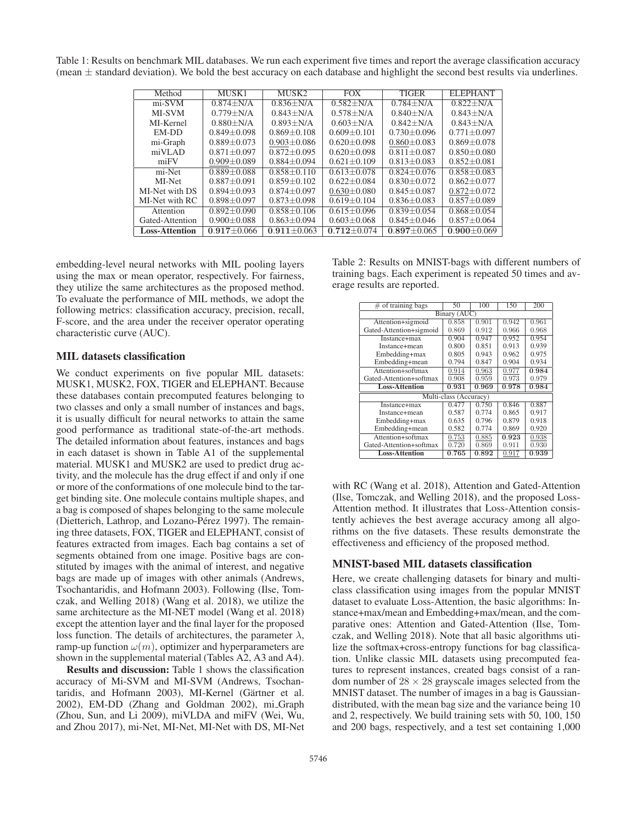Table 1: Results on benchmark MIL databases. We run each experiment five times and report the average classification accuracy (mean  $\pm$  standard deviation). We bold the best accuracy on each database and highlight the second best results via underlines.

| Method                | MUSK1           | MUSK2             | <b>FOX</b>        | <b>TIGER</b>      | <b>ELEPHANT</b>   |
|-----------------------|-----------------|-------------------|-------------------|-------------------|-------------------|
| mi-SVM                | $0.874 + N/A$   | $0.836 + N/A$     | $0.582 + N/A$     | $0.784 + N/A$     | $0.822 + N/A$     |
| <b>MI-SVM</b>         | $0.779 + N/A$   | $0.843 + N/A$     | $0.578 + N/A$     | $0.840 + N/A$     | $0.843 + N/A$     |
| MI-Kernel             | $0.880 + N/A$   | $0.893 + N/A$     | $0.603 + N/A$     | $0.842 + N/A$     | $0.843 + N/A$     |
| EM-DD                 | $0.849 + 0.098$ | $0.869 + 0.108$   | $0.609 + 0.101$   | $0.730 + 0.096$   | $0.771 \pm 0.097$ |
| mi-Graph              | $0.889 + 0.073$ | $0.903 \pm 0.086$ | $0.620 + 0.098$   | $0.860 \pm 0.083$ | $0.869 + 0.078$   |
| miVLAD                | $0.871 + 0.097$ | $0.872 + 0.095$   | $0.620 + 0.098$   | $0.811 + 0.087$   | $0.850 + 0.080$   |
| miFV                  | $0.909 + 0.089$ | $0.884 + 0.094$   | $0.621 + 0.109$   | $0.813 + 0.083$   | $0.852 + 0.081$   |
| mi-Net                | $0.889 + 0.088$ | $0.858 + 0.110$   | $0.613 + 0.078$   | $0.824 + 0.076$   | $0.858 + 0.083$   |
| MI-Net                | $0.887 + 0.091$ | $0.859 + 0.102$   | $0.622 + 0.084$   | $0.830 + 0.072$   | $0.862 + 0.077$   |
| MI-Net with DS        | $0.894 + 0.093$ | $0.874 + 0.097$   | $0.630 \pm 0.080$ | $0.845 + 0.087$   | $0.872 + 0.072$   |
| MI-Net with RC        | $0.898 + 0.097$ | $0.873 + 0.098$   | $0.619 + 0.104$   | $0.836 + 0.083$   | $0.857 + 0.089$   |
| Attention             | $0.892 + 0.090$ | $0.858 + 0.106$   | $0.615 + 0.096$   | $0.839 + 0.054$   | $0.868 + 0.054$   |
| Gated-Attention       | $0.900 + 0.088$ | $0.863 \pm 0.094$ | $0.603 + 0.068$   | $0.845 + 0.046$   | $0.857 + 0.064$   |
| <b>Loss-Attention</b> | $0.917 + 0.066$ | $0.911 + 0.063$   | $0.712 + 0.074$   | $0.897 + 0.065$   | $0.900 + 0.069$   |
|                       |                 |                   |                   |                   |                   |

embedding-level neural networks with MIL pooling layers using the max or mean operator, respectively. For fairness, they utilize the same architectures as the proposed method. To evaluate the performance of MIL methods, we adopt the following metrics: classification accuracy, precision, recall, F-score, and the area under the receiver operator operating characteristic curve (AUC).

#### MIL datasets classification

We conduct experiments on five popular MIL datasets: MUSK1, MUSK2, FOX, TIGER and ELEPHANT. Because these databases contain precomputed features belonging to two classes and only a small number of instances and bags, it is usually difficult for neural networks to attain the same good performance as traditional state-of-the-art methods. The detailed information about features, instances and bags in each dataset is shown in Table A1 of the supplemental material. MUSK1 and MUSK2 are used to predict drug activity, and the molecule has the drug effect if and only if one or more of the conformations of one molecule bind to the target binding site. One molecule contains multiple shapes, and a bag is composed of shapes belonging to the same molecule (Dietterich, Lathrop, and Lozano-Pérez 1997). The remaining three datasets, FOX, TIGER and ELEPHANT, consist of features extracted from images. Each bag contains a set of segments obtained from one image. Positive bags are constituted by images with the animal of interest, and negative bags are made up of images with other animals (Andrews, Tsochantaridis, and Hofmann 2003). Following (Ilse, Tomczak, and Welling 2018) (Wang et al. 2018), we utilize the same architecture as the MI-NET model (Wang et al. 2018) except the attention layer and the final layer for the proposed loss function. The details of architectures, the parameter  $\lambda$ , ramp-up function  $\omega(m)$ , optimizer and hyperparameters are shown in the supplemental material (Tables A2, A3 and A4).

Results and discussion: Table 1 shows the classification accuracy of Mi-SVM and MI-SVM (Andrews, Tsochantaridis, and Hofmann 2003), MI-Kernel (Gärtner et al. 2002), EM-DD (Zhang and Goldman 2002), mi Graph (Zhou, Sun, and Li 2009), miVLDA and miFV (Wei, Wu, and Zhou 2017), mi-Net, MI-Net, MI-Net with DS, MI-Net Table 2: Results on MNIST-bags with different numbers of training bags. Each experiment is repeated 50 times and average results are reported.

| $#$ of training bags    | 50    | 100   | 150   | 200   |  |
|-------------------------|-------|-------|-------|-------|--|
| Binary (AUC)            |       |       |       |       |  |
| Attention+sigmoid       | 0.858 | 0.901 | 0.942 | 0.961 |  |
| Gated-Attention+sigmoid | 0.869 | 0.912 | 0.966 | 0.968 |  |
| Instance+max            | 0.904 | 0.947 | 0.952 | 0.954 |  |
| Instance+mean           | 0.800 | 0.851 | 0.913 | 0.939 |  |
| Embedding+max           | 0.805 | 0.943 | 0.962 | 0.975 |  |
| Embedding+mean          | 0.794 | 0.847 | 0.904 | 0.934 |  |
| Attention+softmax       | 0.914 | 0.963 | 0.977 | 0.984 |  |
| Gated-Attention+softmax | 0.908 | 0.959 | 0.973 | 0.979 |  |
| <b>Loss-Attention</b>   | 0.931 | 0.969 | 0.978 | 0.984 |  |
| Multi-class (Accuracy)  |       |       |       |       |  |
| Instance+max            | 0.477 | 0.750 | 0.846 | 0.887 |  |
| Instance+mean           | 0.587 | 0.774 | 0.865 | 0.917 |  |
| Embedding+max           | 0.635 | 0.796 | 0.879 | 0.918 |  |
| Embedding+mean          | 0.582 | 0.774 | 0.869 | 0.920 |  |
| Attention+softmax       | 0.753 | 0.885 | 0.923 | 0.938 |  |
| Gated-Attention+softmax | 0.720 | 0.869 | 0.911 | 0.930 |  |
| <b>Loss-Attention</b>   | 0.765 | 0.892 | 0.917 | 0.939 |  |
|                         |       |       |       |       |  |

with RC (Wang et al. 2018), Attention and Gated-Attention (Ilse, Tomczak, and Welling 2018), and the proposed Loss-Attention method. It illustrates that Loss-Attention consistently achieves the best average accuracy among all algorithms on the five datasets. These results demonstrate the effectiveness and efficiency of the proposed method.

## MNIST-based MIL datasets classification

Here, we create challenging datasets for binary and multiclass classification using images from the popular MNIST dataset to evaluate Loss-Attention, the basic algorithms: Instance+max/mean and Embedding+max/mean, and the comparative ones: Attention and Gated-Attention (Ilse, Tomczak, and Welling 2018). Note that all basic algorithms utilize the softmax+cross-entropy functions for bag classification. Unlike classic MIL datasets using precomputed features to represent instances, created bags consist of a random number of  $28 \times 28$  grayscale images selected from the MNIST dataset. The number of images in a bag is Gaussiandistributed, with the mean bag size and the variance being 10 and 2, respectively. We build training sets with 50, 100, 150 and 200 bags, respectively, and a test set containing 1,000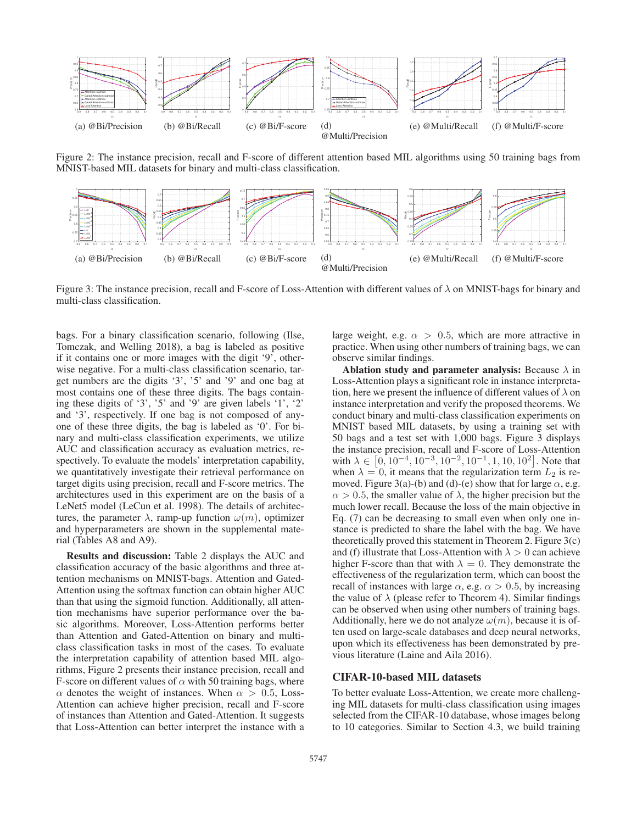

Figure 2: The instance precision, recall and F-score of different attention based MIL algorithms using 50 training bags from MNIST-based MIL datasets for binary and multi-class classification.



Figure 3: The instance precision, recall and F-score of Loss-Attention with different values of  $\lambda$  on MNIST-bags for binary and multi-class classification.

bags. For a binary classification scenario, following (Ilse, Tomczak, and Welling 2018), a bag is labeled as positive if it contains one or more images with the digit '9', otherwise negative. For a multi-class classification scenario, target numbers are the digits '3', '5' and '9' and one bag at most contains one of these three digits. The bags containing these digits of '3', '5' and '9' are given labels '1', '2' and '3', respectively. If one bag is not composed of anyone of these three digits, the bag is labeled as '0'. For binary and multi-class classification experiments, we utilize AUC and classification accuracy as evaluation metrics, respectively. To evaluate the models' interpretation capability, we quantitatively investigate their retrieval performance on target digits using precision, recall and F-score metrics. The architectures used in this experiment are on the basis of a LeNet5 model (LeCun et al. 1998). The details of architectures, the parameter  $\lambda$ , ramp-up function  $\omega(m)$ , optimizer and hyperparameters are shown in the supplemental material (Tables A8 and A9).

Results and discussion: Table 2 displays the AUC and classification accuracy of the basic algorithms and three attention mechanisms on MNIST-bags. Attention and Gated-Attention using the softmax function can obtain higher AUC than that using the sigmoid function. Additionally, all attention mechanisms have superior performance over the basic algorithms. Moreover, Loss-Attention performs better than Attention and Gated-Attention on binary and multiclass classification tasks in most of the cases. To evaluate the interpretation capability of attention based MIL algorithms, Figure 2 presents their instance precision, recall and F-score on different values of  $\alpha$  with 50 training bags, where  $\alpha$  denotes the weight of instances. When  $\alpha > 0.5$ , Loss-Attention can achieve higher precision, recall and F-score of instances than Attention and Gated-Attention. It suggests that Loss-Attention can better interpret the instance with a

large weight, e.g.  $\alpha > 0.5$ , which are more attractive in practice. When using other numbers of training bags, we can observe similar findings.

Ablation study and parameter analysis: Because  $\lambda$  in Loss-Attention plays a significant role in instance interpretation, here we present the influence of different values of  $\lambda$  on instance interpretation and verify the proposed theorems. We conduct binary and multi-class classification experiments on MNIST based MIL datasets, by using a training set with 50 bags and a test set with 1,000 bags. Figure 3 displays the instance precision, recall and F-score of Loss-Attention with  $\lambda \in [0, 10^{-4}, 10^{-3}, 10^{-2}, 10^{-1}, 1, 10, 10^{2}]$ . Note that when  $\lambda = 0$  it means that the regularization term  $L_2$  is rewhen  $\lambda = 0$ , it means that the regularization term  $L_2$  is removed. Figure 3(a)-(b) and (d)-(e) show that for large  $\alpha$ , e.g.  $\alpha > 0.5$ , the smaller value of  $\lambda$ , the higher precision but the much lower recall. Because the loss of the main objective in Eq. (7) can be decreasing to small even when only one instance is predicted to share the label with the bag. We have theoretically proved this statement in Theorem 2. Figure 3(c) and (f) illustrate that Loss-Attention with  $\lambda > 0$  can achieve higher F-score than that with  $\lambda = 0$ . They demonstrate the effectiveness of the regularization term, which can boost the recall of instances with large  $\alpha$ , e.g.  $\alpha > 0.5$ , by increasing the value of  $\lambda$  (please refer to Theorem 4). Similar findings can be observed when using other numbers of training bags. Additionally, here we do not analyze  $\omega(m)$ , because it is often used on large-scale databases and deep neural networks, upon which its effectiveness has been demonstrated by previous literature (Laine and Aila 2016).

# CIFAR-10-based MIL datasets

To better evaluate Loss-Attention, we create more challenging MIL datasets for multi-class classification using images selected from the CIFAR-10 database, whose images belong to 10 categories. Similar to Section 4.3, we build training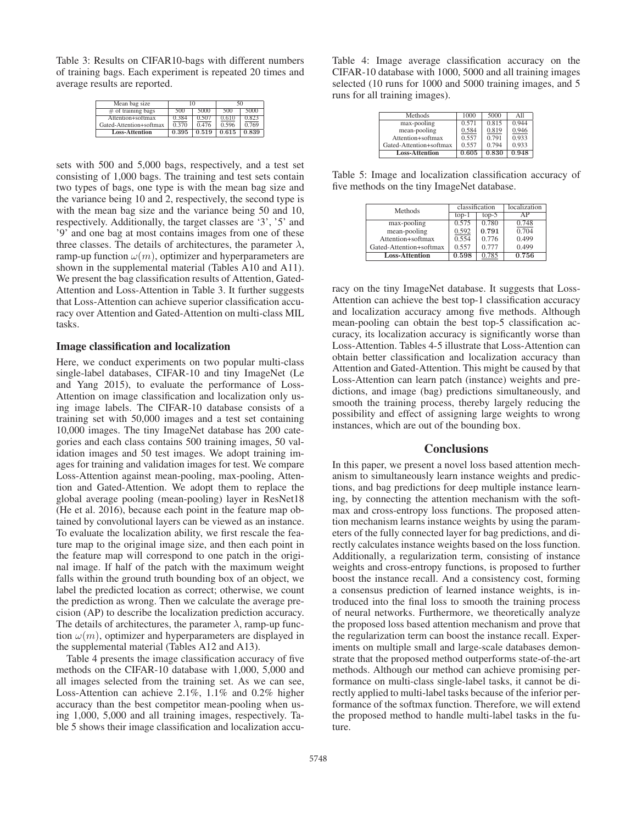Table 3: Results on CIFAR10-bags with different numbers of training bags. Each experiment is repeated 20 times and average results are reported.

| Mean bag size           |       | 10    | 50    |       |
|-------------------------|-------|-------|-------|-------|
| $#$ of training bags    | 500   | 5000  | 500   | 5000  |
| Attention+softmax       | 0.384 | 0.507 | 0.610 | 0.823 |
| Gated-Attention+softmax | 0.370 | 0.476 | 0.596 | 0.769 |
| <b>Loss-Attention</b>   | 0.395 | 0.519 | 0.615 | 0.839 |
|                         |       |       |       |       |

sets with 500 and 5,000 bags, respectively, and a test set consisting of 1,000 bags. The training and test sets contain two types of bags, one type is with the mean bag size and the variance being 10 and 2, respectively, the second type is with the mean bag size and the variance being 50 and 10, respectively. Additionally, the target classes are '3', '5' and '9' and one bag at most contains images from one of these three classes. The details of architectures, the parameter  $\lambda$ , ramp-up function  $\omega(m)$ , optimizer and hyperparameters are shown in the supplemental material (Tables A10 and A11). We present the bag classification results of Attention, Gated-Attention and Loss-Attention in Table 3. It further suggests that Loss-Attention can achieve superior classification accuracy over Attention and Gated-Attention on multi-class MIL tasks.

#### Image classification and localization

Here, we conduct experiments on two popular multi-class single-label databases, CIFAR-10 and tiny ImageNet (Le and Yang 2015), to evaluate the performance of Loss-Attention on image classification and localization only using image labels. The CIFAR-10 database consists of a training set with 50,000 images and a test set containing 10,000 images. The tiny ImageNet database has 200 categories and each class contains 500 training images, 50 validation images and 50 test images. We adopt training images for training and validation images for test. We compare Loss-Attention against mean-pooling, max-pooling, Attention and Gated-Attention. We adopt them to replace the global average pooling (mean-pooling) layer in ResNet18 (He et al. 2016), because each point in the feature map obtained by convolutional layers can be viewed as an instance. To evaluate the localization ability, we first rescale the feature map to the original image size, and then each point in the feature map will correspond to one patch in the original image. If half of the patch with the maximum weight falls within the ground truth bounding box of an object, we label the predicted location as correct; otherwise, we count the prediction as wrong. Then we calculate the average precision (AP) to describe the localization prediction accuracy. The details of architectures, the parameter  $\lambda$ , ramp-up function  $\omega(m)$ , optimizer and hyperparameters are displayed in the supplemental material (Tables A12 and A13).

Table 4 presents the image classification accuracy of five methods on the CIFAR-10 database with 1,000, 5,000 and all images selected from the training set. As we can see, Loss-Attention can achieve 2.1%, 1.1% and 0.2% higher accuracy than the best competitor mean-pooling when using 1,000, 5,000 and all training images, respectively. Table 5 shows their image classification and localization accu-

Table 4: Image average classification accuracy on the CIFAR-10 database with 1000, 5000 and all training images selected (10 runs for 1000 and 5000 training images, and 5 runs for all training images).

| 1000  | 5000  | All   |
|-------|-------|-------|
| 0.571 | 0.815 | 0.944 |
| 0.584 | 0.819 | 0.946 |
| 0.557 | 0.791 | 0.933 |
| 0.557 | 0.794 | 0.933 |
| 0.605 | 0.830 | 0.948 |
|       |       |       |

Table 5: Image and localization classification accuracy of five methods on the tiny ImageNet database.

|         |         | localization            |
|---------|---------|-------------------------|
| $top-1$ | $top-5$ | AΡ                      |
| 0.575   | 0.780   | 0.748                   |
| 0.592   |         | 0.704                   |
| 0.554   | 0.776   | 0.499                   |
| 0.557   | 0.777   | 0.499                   |
| 0.598   | 0.785   | 0.756                   |
|         |         | classification<br>0.791 |

racy on the tiny ImageNet database. It suggests that Loss-Attention can achieve the best top-1 classification accuracy and localization accuracy among five methods. Although mean-pooling can obtain the best top-5 classification accuracy, its localization accuracy is significantly worse than Loss-Attention. Tables 4-5 illustrate that Loss-Attention can obtain better classification and localization accuracy than Attention and Gated-Attention. This might be caused by that Loss-Attention can learn patch (instance) weights and predictions, and image (bag) predictions simultaneously, and smooth the training process, thereby largely reducing the possibility and effect of assigning large weights to wrong instances, which are out of the bounding box.

# **Conclusions**

In this paper, we present a novel loss based attention mechanism to simultaneously learn instance weights and predictions, and bag predictions for deep multiple instance learning, by connecting the attention mechanism with the softmax and cross-entropy loss functions. The proposed attention mechanism learns instance weights by using the parameters of the fully connected layer for bag predictions, and directly calculates instance weights based on the loss function. Additionally, a regularization term, consisting of instance weights and cross-entropy functions, is proposed to further boost the instance recall. And a consistency cost, forming a consensus prediction of learned instance weights, is introduced into the final loss to smooth the training process of neural networks. Furthermore, we theoretically analyze the proposed loss based attention mechanism and prove that the regularization term can boost the instance recall. Experiments on multiple small and large-scale databases demonstrate that the proposed method outperforms state-of-the-art methods. Although our method can achieve promising performance on multi-class single-label tasks, it cannot be directly applied to multi-label tasks because of the inferior performance of the softmax function. Therefore, we will extend the proposed method to handle multi-label tasks in the future.